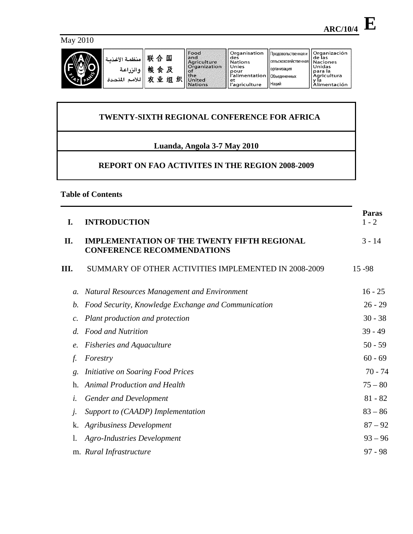May 2010



| منظمة الأغذمة<br>و الزراعية<br>للأمم<br>المتحدة | 联<br>国<br>合<br>桹<br>食及<br>织<br>业<br>٠tr<br>细 | Food<br>and<br>Agriculture<br><b>Organization</b><br>. of<br><b>the</b><br>United<br><b>Nations</b> | l Organisation<br>des<br>l Nations<br>Unies<br>pour<br>r'alimentation   Объединенных<br>et<br>l'agriculture | Продовольственная и<br>, сельскохозяйственная I<br><b>Порганизация</b><br><b>Наций</b> | Organización<br>de las<br><b>Naciones</b><br>Unidas<br><b>para la</b><br>Agricultura<br>Alimentación |
|-------------------------------------------------|----------------------------------------------|-----------------------------------------------------------------------------------------------------|-------------------------------------------------------------------------------------------------------------|----------------------------------------------------------------------------------------|------------------------------------------------------------------------------------------------------|
|-------------------------------------------------|----------------------------------------------|-----------------------------------------------------------------------------------------------------|-------------------------------------------------------------------------------------------------------------|----------------------------------------------------------------------------------------|------------------------------------------------------------------------------------------------------|

# **TWENTY-SIXTH REGIONAL CONFERENCE FOR AFRICA**

# **Luanda, Angola 3-7 May 2010**

# **REPORT ON FAO ACTIVITES IN THE REGION 2008-2009**

**Table of Contents** 

| I.              | <b>INTRODUCTION</b>                                                                     | Paras<br>$1 - 2$ |
|-----------------|-----------------------------------------------------------------------------------------|------------------|
| II.             | <b>IMPLEMENTATION OF THE TWENTY FIFTH REGIONAL</b><br><b>CONFERENCE RECOMMENDATIONS</b> | $3 - 14$         |
| Ш.              | SUMMARY OF OTHER ACTIVITIES IMPLEMENTED IN 2008-2009                                    | 15 - 98          |
| $\mathfrak{a}.$ | <b>Natural Resources Management and Environment</b>                                     | $16 - 25$        |
| b.              | Food Security, Knowledge Exchange and Communication                                     | $26 - 29$        |
| $\mathcal{C}$ . | Plant production and protection                                                         | $30 - 38$        |
| $d$ .           | <b>Food and Nutrition</b>                                                               | $39 - 49$        |
|                 | <b>Fisheries and Aquaculture</b>                                                        | $50 - 59$        |
| f.              | Forestry                                                                                | $60 - 69$        |
| g.              | Initiative on Soaring Food Prices                                                       | $70 - 74$        |
| h.              | <b>Animal Production and Health</b>                                                     | $75 - 80$        |
| i.              | <b>Gender and Development</b>                                                           | $81 - 82$        |
| Ĵ.              | Support to (CAADP) Implementation                                                       | $83 - 86$        |
|                 | <b>Agribusiness Development</b>                                                         | $87 - 92$        |
|                 | Agro-Industries Development                                                             | $93 - 96$        |
|                 | m. Rural Infrastructure                                                                 | $97 - 98$        |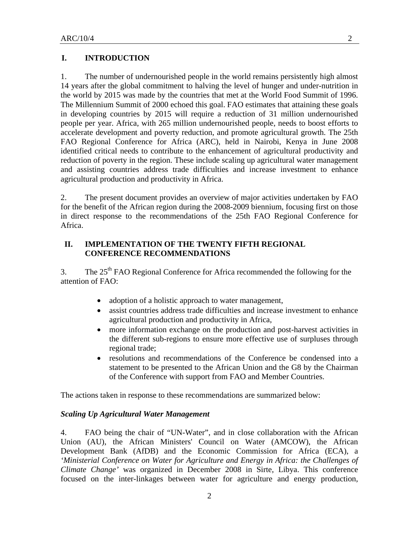## **I. INTRODUCTION**

1. The number of undernourished people in the world remains persistently high almost 14 years after the global commitment to halving the level of hunger and under-nutrition in the world by 2015 was made by the countries that met at the World Food Summit of 1996. The Millennium Summit of 2000 echoed this goal. FAO estimates that attaining these goals in developing countries by 2015 will require a reduction of 31 million undernourished people per year. Africa, with 265 million undernourished people, needs to boost efforts to accelerate development and poverty reduction, and promote agricultural growth. The 25th FAO Regional Conference for Africa (ARC), held in Nairobi, Kenya in June 2008 identified critical needs to contribute to the enhancement of agricultural productivity and reduction of poverty in the region. These include scaling up agricultural water management and assisting countries address trade difficulties and increase investment to enhance agricultural production and productivity in Africa.

2. The present document provides an overview of major activities undertaken by FAO for the benefit of the African region during the 2008-2009 biennium, focusing first on those in direct response to the recommendations of the 25th FAO Regional Conference for Africa.

#### **II. IMPLEMENTATION OF THE TWENTY FIFTH REGIONAL CONFERENCE RECOMMENDATIONS**

3. The  $25<sup>th</sup>$  FAO Regional Conference for Africa recommended the following for the attention of FAO:

- adoption of a holistic approach to water management,
- assist countries address trade difficulties and increase investment to enhance agricultural production and productivity in Africa,
- more information exchange on the production and post-harvest activities in the different sub-regions to ensure more effective use of surpluses through regional trade;
- resolutions and recommendations of the Conference be condensed into a statement to be presented to the African Union and the G8 by the Chairman of the Conference with support from FAO and Member Countries.

The actions taken in response to these recommendations are summarized below:

#### *Scaling Up Agricultural Water Management*

4. FAO being the chair of "UN-Water", and in close collaboration with the African Union (AU), the African Ministers' Council on Water (AMCOW), the African Development Bank (AfDB) and the Economic Commission for Africa (ECA), a *'Ministerial Conference on Water for Agriculture and Energy in Africa: the Challenges of Climate Change'* was organized in December 2008 in Sirte, Libya. This conference focused on the inter-linkages between water for agriculture and energy production,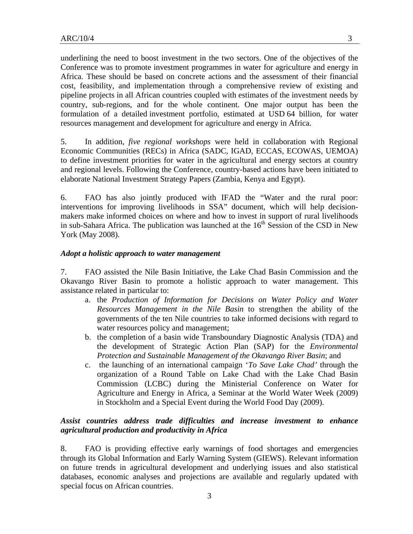underlining the need to boost investment in the two sectors. One of the objectives of the Conference was to promote investment programmes in water for agriculture and energy in Africa. These should be based on concrete actions and the assessment of their financial cost, feasibility, and implementation through a comprehensive review of existing and pipeline projects in all African countries coupled with estimates of the investment needs by country, sub-regions, and for the whole continent. One major output has been the formulation of a detailed investment portfolio, estimated at USD 64 billion, for water resources management and development for agriculture and energy in Africa.

5. In addition, *five regional workshops* were held in collaboration with Regional Economic Communities (RECs) in Africa (SADC, IGAD, ECCAS, ECOWAS, UEMOA) to define investment priorities for water in the agricultural and energy sectors at country and regional levels. Following the Conference, country-based actions have been initiated to elaborate National Investment Strategy Papers (Zambia, Kenya and Egypt).

6. FAO has also jointly produced with IFAD the "Water and the rural poor: interventions for improving livelihoods in SSA" document, which will help decisionmakers make informed choices on where and how to invest in support of rural livelihoods in sub-Sahara Africa. The publication was launched at the  $16<sup>th</sup>$  Session of the CSD in New York (May 2008).

#### *Adopt a holistic approach to water management*

7. FAO assisted the Nile Basin Initiative, the Lake Chad Basin Commission and the Okavango River Basin to promote a holistic approach to water management. This assistance related in particular to:

- a. the *Production of Information for Decisions on Water Policy and Water Resources Management in the Nile Basin* to strengthen the ability of the governments of the ten Nile countries to take informed decisions with regard to water resources policy and management;
- b. the completion of a basin wide Transboundary Diagnostic Analysis (TDA) and the development of Strategic Action Plan (SAP) for the *Environmental Protection and Sustainable Management of the Okavango River Basin*; and
- c. the launching of an international campaign '*To Save Lake Chad'* through the organization of a Round Table on Lake Chad with the Lake Chad Basin Commission (LCBC) during the Ministerial Conference on Water for Agriculture and Energy in Africa*,* a Seminar at the World Water Week (2009) in Stockholm and a Special Event during the World Food Day (2009).

## *Assist countries address trade difficulties and increase investment to enhance agricultural production and productivity in Africa*

8. FAO is providing effective early warnings of food shortages and emergencies through its Global Information and Early Warning System (GIEWS). Relevant information on future trends in agricultural development and underlying issues and also statistical databases, economic analyses and projections are available and regularly updated with special focus on African countries.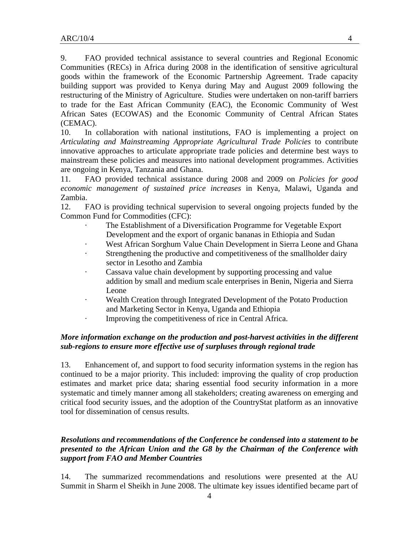9. FAO provided technical assistance to several countries and Regional Economic Communities (RECs) in Africa during 2008 in the identification of sensitive agricultural goods within the framework of the Economic Partnership Agreement. Trade capacity building support was provided to Kenya during May and August 2009 following the restructuring of the Ministry of Agriculture. Studies were undertaken on non-tariff barriers to trade for the East African Community (EAC), the Economic Community of West African Sates (ECOWAS) and the Economic Community of Central African States (CEMAC).

10. In collaboration with national institutions, FAO is implementing a project on *Articulating and Mainstreaming Appropriate Agricultural Trade Policies* to contribute innovative approaches to articulate appropriate trade policies and determine best ways to mainstream these policies and measures into national development programmes. Activities are ongoing in Kenya, Tanzania and Ghana.

11. FAO provided technical assistance during 2008 and 2009 on *Policies for good economic management of sustained price increases* in Kenya, Malawi, Uganda and Zambia.

12. FAO is providing technical supervision to several ongoing projects funded by the Common Fund for Commodities (CFC):

- The Establishment of a Diversification Programme for Vegetable Export Development and the export of organic bananas in Ethiopia and Sudan
- West African Sorghum Value Chain Development in Sierra Leone and Ghana
- · Strengthening the productive and competitiveness of the smallholder dairy sector in Lesotho and Zambia
- · Cassava value chain development by supporting processing and value addition by small and medium scale enterprises in Benin, Nigeria and Sierra Leone
- · Wealth Creation through Integrated Development of the Potato Production and Marketing Sector in Kenya, Uganda and Ethiopia
- · Improving the competitiveness of rice in Central Africa.

# *More information exchange on the production and post-harvest activities in the different sub-regions to ensure more effective use of surpluses through regional trade*

13. Enhancement of, and support to food security information systems in the region has continued to be a major priority. This included: improving the quality of crop production estimates and market price data; sharing essential food security information in a more systematic and timely manner among all stakeholders; creating awareness on emerging and critical food security issues, and the adoption of the CountryStat platform as an innovative tool for dissemination of census results.

# *Resolutions and recommendations of the Conference be condensed into a statement to be presented to the African Union and the G8 by the Chairman of the Conference with support from FAO and Member Countries*

14. The summarized recommendations and resolutions were presented at the AU Summit in Sharm el Sheikh in June 2008. The ultimate key issues identified became part of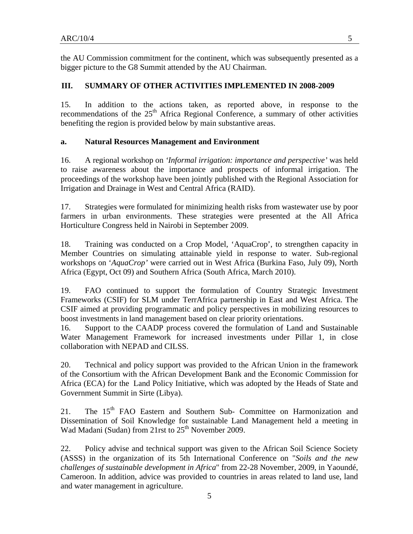the AU Commission commitment for the continent, which was subsequently presented as a bigger picture to the G8 Summit attended by the AU Chairman.

# **III. SUMMARY OF OTHER ACTIVITIES IMPLEMENTED IN 2008-2009**

15. In addition to the actions taken, as reported above, in response to the recommendations of the  $25<sup>th</sup>$  Africa Regional Conference, a summary of other activities benefiting the region is provided below by main substantive areas.

#### **a. Natural Resources Management and Environment**

16. A regional workshop on *'Informal irrigation: importance and perspective'* was held to raise awareness about the importance and prospects of informal irrigation. The proceedings of the workshop have been jointly published with the Regional Association for Irrigation and Drainage in West and Central Africa (RAID).

17. Strategies were formulated for minimizing health risks from wastewater use by poor farmers in urban environments. These strategies were presented at the All Africa Horticulture Congress held in Nairobi in September 2009.

18. Training was conducted on a Crop Model, 'AquaCrop', to strengthen capacity in Member Countries on simulating attainable yield in response to water. Sub-regional workshops on '*AquaCrop'* were carried out in West Africa (Burkina Faso, July 09), North Africa (Egypt, Oct 09) and Southern Africa (South Africa, March 2010).

19. FAO continued to support the formulation of Country Strategic Investment Frameworks (CSIF) for SLM under TerrAfrica partnership in East and West Africa. The CSIF aimed at providing programmatic and policy perspectives in mobilizing resources to boost investments in land management based on clear priority orientations.

16. Support to the CAADP process covered the formulation of Land and Sustainable Water Management Framework for increased investments under Pillar 1, in close collaboration with NEPAD and CILSS.

20. Technical and policy support was provided to the African Union in the framework of the Consortium with the African Development Bank and the Economic Commission for Africa (ECA) for the Land Policy Initiative, which was adopted by the Heads of State and Government Summit in Sirte (Libya).

21. The 15<sup>th</sup> FAO Eastern and Southern Sub- Committee on Harmonization and Dissemination of Soil Knowledge for sustainable Land Management held a meeting in Wad Madani (Sudan) from 21rst to  $25<sup>th</sup>$  November 2009.

22. Policy advise and technical support was given to the African Soil Science Society (ASSS) in the organization of its 5th International Conference on "*Soils and the new challenges of sustainable development in Africa*" from 22-28 November, 2009, in Yaoundé, Cameroon. In addition, advice was provided to countries in areas related to land use, land and water management in agriculture.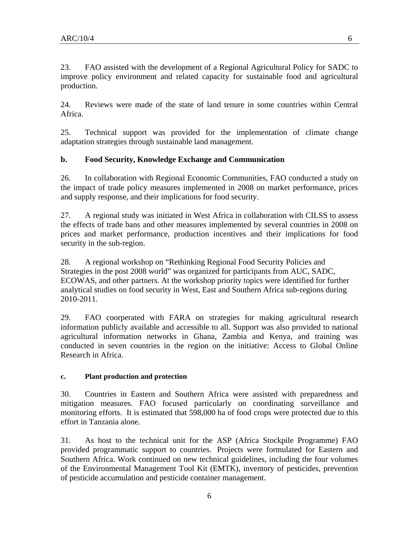23. FAO assisted with the development of a Regional Agricultural Policy for SADC to improve policy environment and related capacity for sustainable food and agricultural production.

24. Reviews were made of the state of land tenure in some countries within Central Africa.

25. Technical support was provided for the implementation of climate change adaptation strategies through sustainable land management.

## **b. Food Security, Knowledge Exchange and Communication**

26. In collaboration with Regional Economic Communities, FAO conducted a study on the impact of trade policy measures implemented in 2008 on market performance, prices and supply response, and their implications for food security.

27. A regional study was initiated in West Africa in collaboration with CILSS to assess the effects of trade bans and other measures implemented by several countries in 2008 on prices and market performance, production incentives and their implications for food security in the sub-region.

28. A regional workshop on "Rethinking Regional Food Security Policies and Strategies in the post 2008 world" was organized for participants from AUC, SADC, ECOWAS, and other partners. At the workshop priority topics were identified for further analytical studies on food security in West, East and Southern Africa sub-regions during 2010-2011.

29. FAO coorperated with FARA on strategies for making agricultural research information publicly available and accessible to all. Support was also provided to national agricultural information networks in Ghana, Zambia and Kenya, and training was conducted in seven countries in the region on the initiative: Access to Global Online Research in Africa.

#### **c. Plant production and protection**

30. Countries in Eastern and Southern Africa were assisted with preparedness and mitigation measures. FAO focused particularly on coordinating surveillance and monitoring efforts. It is estimated that 598,000 ha of food crops were protected due to this effort in Tanzania alone.

31. As host to the technical unit for the ASP (Africa Stockpile Programme) FAO provided programmatic support to countries. Projects were formulated for Eastern and Southern Africa. Work continued on new technical guidelines, including the four volumes of the Environmental Management Tool Kit (EMTK), inventory of pesticides, prevention of pesticide accumulation and pesticide container management.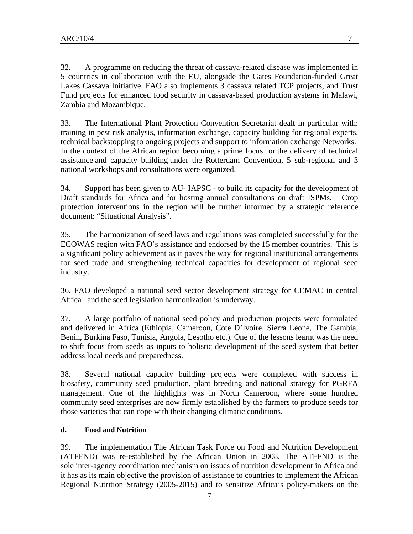32. A programme on reducing the threat of cassava-related disease was implemented in 5 countries in collaboration with the EU, alongside the Gates Foundation-funded Great Lakes Cassava Initiative. FAO also implements 3 cassava related TCP projects, and Trust Fund projects for enhanced food security in cassava-based production systems in Malawi, Zambia and Mozambique.

33. The International Plant Protection Convention Secretariat dealt in particular with: training in pest risk analysis, information exchange, capacity building for regional experts, technical backstopping to ongoing projects and support to information exchange Networks. In the context of the African region becoming a prime focus for the delivery of technical assistance and capacity building under the Rotterdam Convention, 5 sub-regional and 3 national workshops and consultations were organized.

34. Support has been given to AU- IAPSC - to build its capacity for the development of Draft standards for Africa and for hosting annual consultations on draft ISPMs. Crop protection interventions in the region will be further informed by a strategic reference document: "Situational Analysis".

35. The harmonization of seed laws and regulations was completed successfully for the ECOWAS region with FAO's assistance and endorsed by the 15 member countries. This is a significant policy achievement as it paves the way for regional institutional arrangements for seed trade and strengthening technical capacities for development of regional seed industry.

36. FAO developed a national seed sector development strategy for CEMAC in central Africa and the seed legislation harmonization is underway.

37. A large portfolio of national seed policy and production projects were formulated and delivered in Africa (Ethiopia, Cameroon, Cote D'Ivoire, Sierra Leone, The Gambia, Benin, Burkina Faso, Tunisia, Angola, Lesotho etc.). One of the lessons learnt was the need to shift focus from seeds as inputs to holistic development of the seed system that better address local needs and preparedness.

38. Several national capacity building projects were completed with success in biosafety, community seed production, plant breeding and national strategy for PGRFA management. One of the highlights was in North Cameroon, where some hundred community seed enterprises are now firmly established by the farmers to produce seeds for those varieties that can cope with their changing climatic conditions.

## **d. Food and Nutrition**

39. The implementation The African Task Force on Food and Nutrition Development (ATFFND) was re-established by the African Union in 2008. The ATFFND is the sole inter-agency coordination mechanism on issues of nutrition development in Africa and it has as its main objective the provision of assistance to countries to implement the African Regional Nutrition Strategy (2005-2015) and to sensitize Africa's policy-makers on the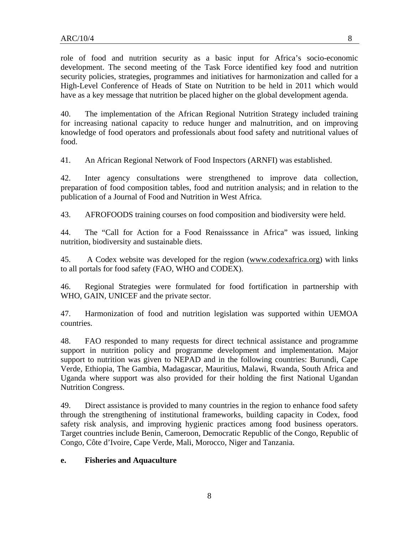role of food and nutrition security as a basic input for Africa's socio-economic development. The second meeting of the Task Force identified key food and nutrition security policies, strategies, programmes and initiatives for harmonization and called for a High-Level Conference of Heads of State on Nutrition to be held in 2011 which would have as a key message that nutrition be placed higher on the global development agenda.

40. The implementation of the African Regional Nutrition Strategy included training for increasing national capacity to reduce hunger and malnutrition, and on improving knowledge of food operators and professionals about food safety and nutritional values of food.

41. An African Regional Network of Food Inspectors (ARNFI) was established.

42. Inter agency consultations were strengthened to improve data collection, preparation of food composition tables, food and nutrition analysis; and in relation to the publication of a Journal of Food and Nutrition in West Africa.

43. AFROFOODS training courses on food composition and biodiversity were held.

44. The "Call for Action for a Food Renaisssance in Africa" was issued, linking nutrition, biodiversity and sustainable diets.

45. A Codex website was developed for the region (www.codexafrica.org) with links to all portals for food safety (FAO, WHO and CODEX).

46. Regional Strategies were formulated for food fortification in partnership with WHO, GAIN, UNICEF and the private sector.

47. Harmonization of food and nutrition legislation was supported within UEMOA countries.

48. FAO responded to many requests for direct technical assistance and programme support in nutrition policy and programme development and implementation. Major support to nutrition was given to NEPAD and in the following countries: Burundi, Cape Verde, Ethiopia, The Gambia, Madagascar, Mauritius, Malawi, Rwanda, South Africa and Uganda where support was also provided for their holding the first National Ugandan Nutrition Congress.

49. Direct assistance is provided to many countries in the region to enhance food safety through the strengthening of institutional frameworks, building capacity in Codex, food safety risk analysis, and improving hygienic practices among food business operators. Target countries include Benin, Cameroon, Democratic Republic of the Congo, Republic of Congo, Côte d'Ivoire, Cape Verde, Mali, Morocco, Niger and Tanzania.

#### **e. Fisheries and Aquaculture**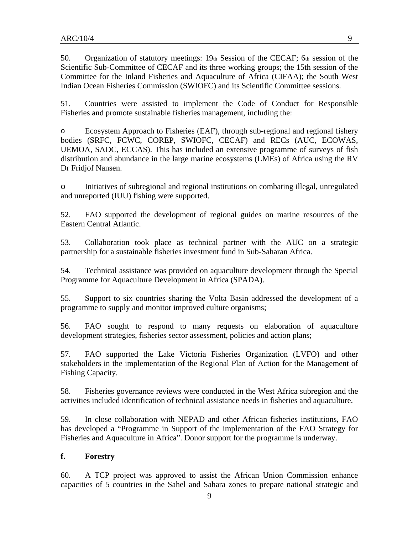50. Organization of statutory meetings: 19th Session of the CECAF; 6th session of the Scientific Sub-Committee of CECAF and its three working groups; the 15th session of the Committee for the Inland Fisheries and Aquaculture of Africa (CIFAA); the South West Indian Ocean Fisheries Commission (SWIOFC) and its Scientific Committee sessions.

51. Countries were assisted to implement the Code of Conduct for Responsible Fisheries and promote sustainable fisheries management, including the:

o Ecosystem Approach to Fisheries (EAF), through sub-regional and regional fishery bodies (SRFC, FCWC, COREP, SWIOFC, CECAF) and RECs (AUC, ECOWAS, UEMOA, SADC, ECCAS). This has included an extensive programme of surveys of fish distribution and abundance in the large marine ecosystems (LMEs) of Africa using the RV Dr Fridjof Nansen.

o Initiatives of subregional and regional institutions on combating illegal, unregulated and unreported (IUU) fishing were supported.

52. FAO supported the development of regional guides on marine resources of the Eastern Central Atlantic.

53. Collaboration took place as technical partner with the AUC on a strategic partnership for a sustainable fisheries investment fund in Sub-Saharan Africa.

54. Technical assistance was provided on aquaculture development through the Special Programme for Aquaculture Development in Africa (SPADA).

55. Support to six countries sharing the Volta Basin addressed the development of a programme to supply and monitor improved culture organisms;

56. FAO sought to respond to many requests on elaboration of aquaculture development strategies, fisheries sector assessment, policies and action plans;

57. FAO supported the Lake Victoria Fisheries Organization (LVFO) and other stakeholders in the implementation of the Regional Plan of Action for the Management of Fishing Capacity.

58. Fisheries governance reviews were conducted in the West Africa subregion and the activities included identification of technical assistance needs in fisheries and aquaculture.

59. In close collaboration with NEPAD and other African fisheries institutions, FAO has developed a "Programme in Support of the implementation of the FAO Strategy for Fisheries and Aquaculture in Africa". Donor support for the programme is underway.

## **f. Forestry**

60. A TCP project was approved to assist the African Union Commission enhance capacities of 5 countries in the Sahel and Sahara zones to prepare national strategic and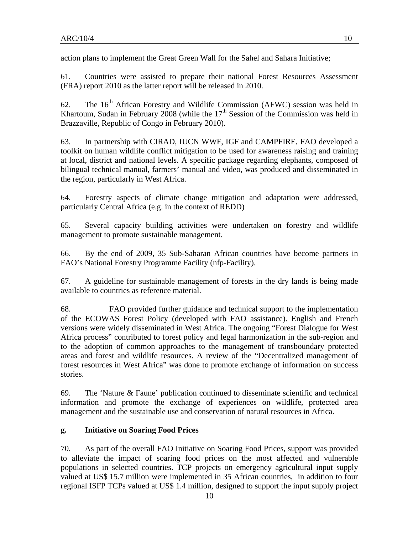action plans to implement the Great Green Wall for the Sahel and Sahara Initiative;

61. Countries were assisted to prepare their national Forest Resources Assessment (FRA) report 2010 as the latter report will be released in 2010.

62. The  $16<sup>th</sup>$  African Forestry and Wildlife Commission (AFWC) session was held in Khartoum, Sudan in February 2008 (while the  $17<sup>th</sup>$  Session of the Commission was held in Brazzaville, Republic of Congo in February 2010).

63. In partnership with CIRAD, IUCN WWF, IGF and CAMPFIRE, FAO developed a toolkit on human wildlife conflict mitigation to be used for awareness raising and training at local, district and national levels. A specific package regarding elephants, composed of bilingual technical manual, farmers' manual and video, was produced and disseminated in the region, particularly in West Africa.

64. Forestry aspects of climate change mitigation and adaptation were addressed, particularly Central Africa (e.g. in the context of REDD)

65. Several capacity building activities were undertaken on forestry and wildlife management to promote sustainable management.

66. By the end of 2009, 35 Sub-Saharan African countries have become partners in FAO's National Forestry Programme Facility (nfp-Facility).

67. A guideline for sustainable management of forests in the dry lands is being made available to countries as reference material.

68. FAO provided further guidance and technical support to the implementation of the ECOWAS Forest Policy (developed with FAO assistance). English and French versions were widely disseminated in West Africa. The ongoing "Forest Dialogue for West Africa process" contributed to forest policy and legal harmonization in the sub-region and to the adoption of common approaches to the management of transboundary protected areas and forest and wildlife resources. A review of the "Decentralized management of forest resources in West Africa" was done to promote exchange of information on success stories.

69. The 'Nature & Faune' publication continued to disseminate scientific and technical information and promote the exchange of experiences on wildlife, protected area management and the sustainable use and conservation of natural resources in Africa.

# **g. Initiative on Soaring Food Prices**

70. As part of the overall FAO Initiative on Soaring Food Prices, support was provided to alleviate the impact of soaring food prices on the most affected and vulnerable populations in selected countries. TCP projects on emergency agricultural input supply valued at US\$ 15.7 million were implemented in 35 African countries, in addition to four regional ISFP TCPs valued at US\$ 1.4 million, designed to support the input supply project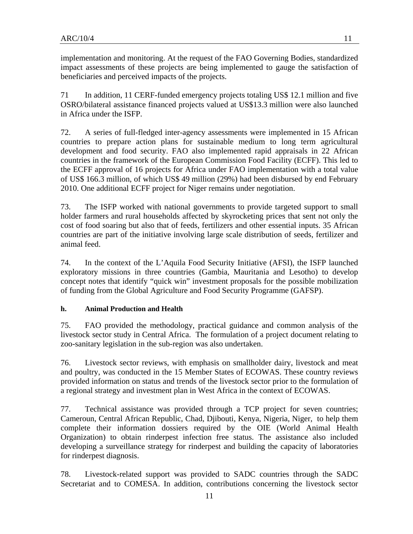implementation and monitoring. At the request of the FAO Governing Bodies, standardized impact assessments of these projects are being implemented to gauge the satisfaction of beneficiaries and perceived impacts of the projects.

71 In addition, 11 CERF-funded emergency projects totaling US\$ 12.1 million and five OSRO/bilateral assistance financed projects valued at US\$13.3 million were also launched in Africa under the ISFP.

72. A series of full-fledged inter-agency assessments were implemented in 15 African countries to prepare action plans for sustainable medium to long term agricultural development and food security. FAO also implemented rapid appraisals in 22 African countries in the framework of the European Commission Food Facility (ECFF). This led to the ECFF approval of 16 projects for Africa under FAO implementation with a total value of US\$ 166.3 million, of which US\$ 49 million (29%) had been disbursed by end February 2010. One additional ECFF project for Niger remains under negotiation.

73. The ISFP worked with national governments to provide targeted support to small holder farmers and rural households affected by skyrocketing prices that sent not only the cost of food soaring but also that of feeds, fertilizers and other essential inputs. 35 African countries are part of the initiative involving large scale distribution of seeds, fertilizer and animal feed.

74. In the context of the L'Aquila Food Security Initiative (AFSI), the ISFP launched exploratory missions in three countries (Gambia, Mauritania and Lesotho) to develop concept notes that identify "quick win" investment proposals for the possible mobilization of funding from the Global Agriculture and Food Security Programme (GAFSP).

## **h. Animal Production and Health**

75. FAO provided the methodology, practical guidance and common analysis of the livestock sector study in Central Africa. The formulation of a project document relating to zoo-sanitary legislation in the sub-region was also undertaken.

76. Livestock sector reviews, with emphasis on smallholder dairy, livestock and meat and poultry, was conducted in the 15 Member States of ECOWAS. These country reviews provided information on status and trends of the livestock sector prior to the formulation of a regional strategy and investment plan in West Africa in the context of ECOWAS.

77. Technical assistance was provided through a TCP project for seven countries; Cameroun, Central African Republic, Chad, Djibouti, Kenya, Nigeria, Niger, to help them complete their information dossiers required by the OIE (World Animal Health Organization) to obtain rinderpest infection free status. The assistance also included developing a surveillance strategy for rinderpest and building the capacity of laboratories for rinderpest diagnosis.

78. Livestock-related support was provided to SADC countries through the SADC Secretariat and to COMESA. In addition, contributions concerning the livestock sector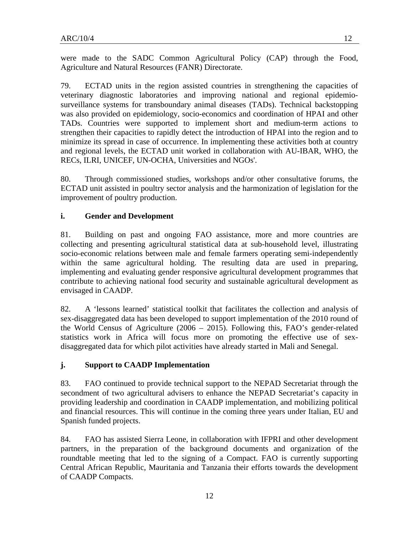were made to the SADC Common Agricultural Policy (CAP) through the Food, Agriculture and Natural Resources (FANR) Directorate.

79. ECTAD units in the region assisted countries in strengthening the capacities of veterinary diagnostic laboratories and improving national and regional epidemiosurveillance systems for transboundary animal diseases (TADs). Technical backstopping was also provided on epidemiology, socio-economics and coordination of HPAI and other TADs. Countries were supported to implement short and medium-term actions to strengthen their capacities to rapidly detect the introduction of HPAI into the region and to minimize its spread in case of occurrence. In implementing these activities both at country and regional levels, the ECTAD unit worked in collaboration with AU-IBAR, WHO, the RECs, ILRI, UNICEF, UN-OCHA, Universities and NGOs'.

80. Through commissioned studies, workshops and/or other consultative forums, the ECTAD unit assisted in poultry sector analysis and the harmonization of legislation for the improvement of poultry production.

## **i. Gender and Development**

81. Building on past and ongoing FAO assistance, more and more countries are collecting and presenting agricultural statistical data at sub-household level, illustrating socio-economic relations between male and female farmers operating semi-independently within the same agricultural holding. The resulting data are used in preparing, implementing and evaluating gender responsive agricultural development programmes that contribute to achieving national food security and sustainable agricultural development as envisaged in CAADP.

82. A 'lessons learned' statistical toolkit that facilitates the collection and analysis of sex-disaggregated data has been developed to support implementation of the 2010 round of the World Census of Agriculture (2006 – 2015). Following this, FAO's gender-related statistics work in Africa will focus more on promoting the effective use of sexdisaggregated data for which pilot activities have already started in Mali and Senegal.

#### **j. Support to CAADP Implementation**

83. FAO continued to provide technical support to the NEPAD Secretariat through the secondment of two agricultural advisers to enhance the NEPAD Secretariat's capacity in providing leadership and coordination in CAADP implementation, and mobilizing political and financial resources. This will continue in the coming three years under Italian, EU and Spanish funded projects.

84. FAO has assisted Sierra Leone, in collaboration with IFPRI and other development partners, in the preparation of the background documents and organization of the roundtable meeting that led to the signing of a Compact. FAO is currently supporting Central African Republic, Mauritania and Tanzania their efforts towards the development of CAADP Compacts.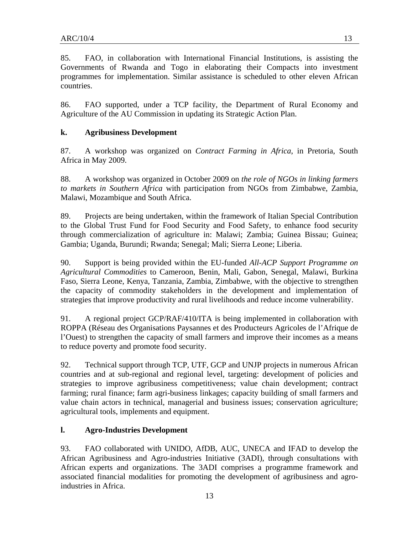85. FAO, in collaboration with International Financial Institutions, is assisting the Governments of Rwanda and Togo in elaborating their Compacts into investment programmes for implementation. Similar assistance is scheduled to other eleven African countries.

86. FAO supported, under a TCP facility, the Department of Rural Economy and Agriculture of the AU Commission in updating its Strategic Action Plan.

# **k. Agribusiness Development**

87. A workshop was organized on *Contract Farming in Africa*, in Pretoria, South Africa in May 2009.

88. A workshop was organized in October 2009 on *the role of NGOs in linking farmers to markets in Southern Africa* with participation from NGOs from Zimbabwe, Zambia, Malawi, Mozambique and South Africa.

89. Projects are being undertaken, within the framework of Italian Special Contribution to the Global Trust Fund for Food Security and Food Safety, to enhance food security through commercialization of agriculture in: Malawi; Zambia; Guinea Bissau; Guinea; Gambia; Uganda, Burundi; Rwanda; Senegal; Mali; Sierra Leone; Liberia.

90. Support is being provided within the EU-funded *All-ACP Support Programme on Agricultural Commodities* to Cameroon, Benin, Mali, Gabon, Senegal, Malawi, Burkina Faso, Sierra Leone, Kenya, Tanzania, Zambia, Zimbabwe, with the objective to strengthen the capacity of commodity stakeholders in the development and implementation of strategies that improve productivity and rural livelihoods and reduce income vulnerability.

91. A regional project GCP/RAF/410/ITA is being implemented in collaboration with ROPPA (Réseau des Organisations Paysannes et des Producteurs Agricoles de l'Afrique de l'Ouest) to strengthen the capacity of small farmers and improve their incomes as a means to reduce poverty and promote food security.

92. Technical support through TCP, UTF, GCP and UNJP projects in numerous African countries and at sub-regional and regional level, targeting: development of policies and strategies to improve agribusiness competitiveness; value chain development; contract farming; rural finance; farm agri-business linkages; capacity building of small farmers and value chain actors in technical, managerial and business issues; conservation agriculture; agricultural tools, implements and equipment.

# **l. Agro-Industries Development**

93. FAO collaborated with UNIDO, AfDB, AUC, UNECA and IFAD to develop the African Agribusiness and Agro-industries Initiative (3ADI), through consultations with African experts and organizations. The 3ADI comprises a programme framework and associated financial modalities for promoting the development of agribusiness and agroindustries in Africa.